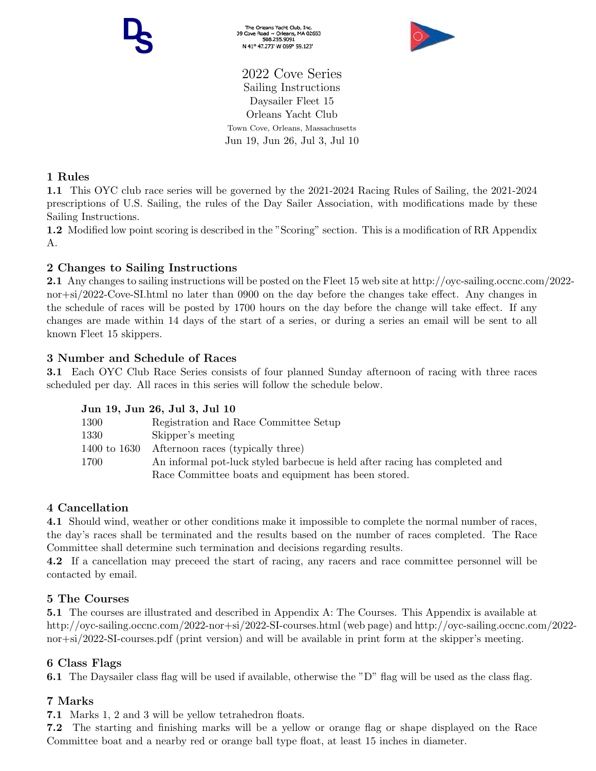The Orleans Yacht Club, Inc.<br>39 Cove Road ~ Orleans, MA 02653<br>508.255.9091 N 41° 47.273' W 069° 59.123'



2022 Cove Series Sailing Instructions Daysailer Fleet 15 Orleans Yacht Club Town Cove, Orleans, Massachusetts Jun 19, Jun 26, Jul 3, Jul 10

# 1 Rules

1.1 This OYC club race series will be governed by the 2021-2024 Racing Rules of Sailing, the 2021-2024 prescriptions of U.S. Sailing, the rules of the Day Sailer Association, with modifications made by these Sailing Instructions.

1.2 Modified low point scoring is described in the "Scoring" section. This is a modification of RR Appendix A.

# 2 Changes to Sailing Instructions

2.1 Any changes to sailing instructions will be posted on the Fleet 15 web site at http://oyc-sailing.occnc.com/2022 nor+si/2022-Cove-SI.html no later than 0900 on the day before the changes take effect. Any changes in the schedule of races will be posted by 1700 hours on the day before the change will take effect. If any changes are made within 14 days of the start of a series, or during a series an email will be sent to all known Fleet 15 skippers.

## 3 Number and Schedule of Races

3.1 Each OYC Club Race Series consists of four planned Sunday afternoon of racing with three races scheduled per day. All races in this series will follow the schedule below.

### Jun 19, Jun 26, Jul 3, Jul 10

| 1300         | Registration and Race Committee Setup                                       |
|--------------|-----------------------------------------------------------------------------|
| 1330         | Skipper's meeting                                                           |
| 1400 to 1630 | Afternoon races (typically three)                                           |
| 1700         | An informal pot-luck styled barbecue is held after racing has completed and |
|              | Race Committee boats and equipment has been stored.                         |

### 4 Cancellation

4.1 Should wind, weather or other conditions make it impossible to complete the normal number of races, the day's races shall be terminated and the results based on the number of races completed. The Race Committee shall determine such termination and decisions regarding results.

4.2 If a cancellation may preceed the start of racing, any racers and race committee personnel will be contacted by email.

### 5 The Courses

5.1 The courses are illustrated and described in Appendix A: The Courses. This Appendix is available at http://oyc-sailing.occnc.com/2022-nor+si/2022-SI-courses.html (web page) and http://oyc-sailing.occnc.com/2022 nor+si/2022-SI-courses.pdf (print version) and will be available in print form at the skipper's meeting.

### 6 Class Flags

6.1 The Daysailer class flag will be used if available, otherwise the "D" flag will be used as the class flag.

# 7 Marks

7.1 Marks 1, 2 and 3 will be yellow tetrahedron floats.

7.2 The starting and finishing marks will be a yellow or orange flag or shape displayed on the Race Committee boat and a nearby red or orange ball type float, at least 15 inches in diameter.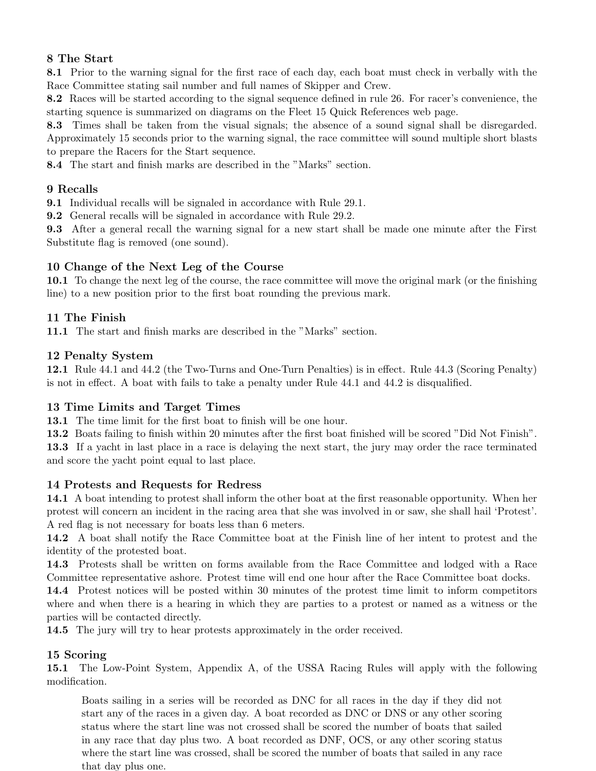# 8 The Start

8.1 Prior to the warning signal for the first race of each day, each boat must check in verbally with the Race Committee stating sail number and full names of Skipper and Crew.

8.2 Races will be started according to the signal sequence defined in rule 26. For racer's convenience, the starting squence is summarized on diagrams on the Fleet 15 Quick References web page.

8.3 Times shall be taken from the visual signals; the absence of a sound signal shall be disregarded. Approximately 15 seconds prior to the warning signal, the race committee will sound multiple short blasts to prepare the Racers for the Start sequence.

8.4 The start and finish marks are described in the "Marks" section.

## 9 Recalls

9.1 Individual recalls will be signaled in accordance with Rule 29.1.

9.2 General recalls will be signaled in accordance with Rule 29.2.

9.3 After a general recall the warning signal for a new start shall be made one minute after the First Substitute flag is removed (one sound).

## 10 Change of the Next Leg of the Course

10.1 To change the next leg of the course, the race committee will move the original mark (or the finishing line) to a new position prior to the first boat rounding the previous mark.

## 11 The Finish

11.1 The start and finish marks are described in the "Marks" section.

### 12 Penalty System

12.1 Rule 44.1 and 44.2 (the Two-Turns and One-Turn Penalties) is in effect. Rule 44.3 (Scoring Penalty) is not in effect. A boat with fails to take a penalty under Rule 44.1 and 44.2 is disqualified.

### 13 Time Limits and Target Times

13.1 The time limit for the first boat to finish will be one hour.

13.2 Boats failing to finish within 20 minutes after the first boat finished will be scored "Did Not Finish".

13.3 If a yacht in last place in a race is delaying the next start, the jury may order the race terminated and score the yacht point equal to last place.

### 14 Protests and Requests for Redress

14.1 A boat intending to protest shall inform the other boat at the first reasonable opportunity. When her protest will concern an incident in the racing area that she was involved in or saw, she shall hail 'Protest'. A red flag is not necessary for boats less than 6 meters.

14.2 A boat shall notify the Race Committee boat at the Finish line of her intent to protest and the identity of the protested boat.

14.3 Protests shall be written on forms available from the Race Committee and lodged with a Race Committee representative ashore. Protest time will end one hour after the Race Committee boat docks.

14.4 Protest notices will be posted within 30 minutes of the protest time limit to inform competitors where and when there is a hearing in which they are parties to a protest or named as a witness or the parties will be contacted directly.

14.5 The jury will try to hear protests approximately in the order received.

### 15 Scoring

15.1 The Low-Point System, Appendix A, of the USSA Racing Rules will apply with the following modification.

Boats sailing in a series will be recorded as DNC for all races in the day if they did not start any of the races in a given day. A boat recorded as DNC or DNS or any other scoring status where the start line was not crossed shall be scored the number of boats that sailed in any race that day plus two. A boat recorded as DNF, OCS, or any other scoring status where the start line was crossed, shall be scored the number of boats that sailed in any race that day plus one.